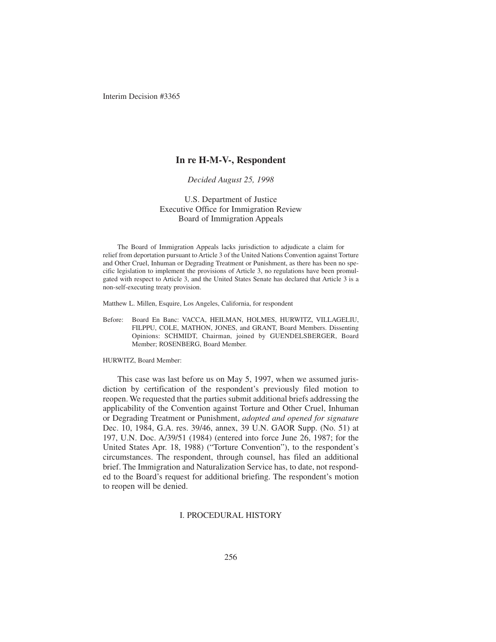## **In re H-M-V-, Respondent**

## *Decided August 25, 1998*

U.S. Department of Justice Executive Office for Immigration Review Board of Immigration Appeals

The Board of Immigration Appeals lacks jurisdiction to adjudicate a claim for relief from deportation pursuant to Article 3 of the United Nations Convention against Torture and Other Cruel, Inhuman or Degrading Treatment or Punishment, as there has been no specific legislation to implement the provisions of Article 3, no regulations have been promulgated with respect to Article 3, and the United States Senate has declared that Article 3 is a non-self-executing treaty provision.

Matthew L. Millen, Esquire, Los Angeles, California, for respondent

Before: Board En Banc: VACCA, HEILMAN, HOLMES, HURWITZ, VILLAGELIU, FILPPU, COLE, MATHON, JONES, and GRANT, Board Members. Dissenting Opinions: SCHMIDT, Chairman, joined by GUENDELSBERGER, Board Member; ROSENBERG, Board Member.

HURWITZ, Board Member:

This case was last before us on May 5, 1997, when we assumed jurisdiction by certification of the respondent's previously filed motion to reopen. We requested that the parties submit additional briefs addressing the applicability of the Convention against Torture and Other Cruel, Inhuman or Degrading Treatment or Punishment, *adopted and opened for signature* Dec. 10, 1984, G.A. res. 39/46, annex, 39 U.N. GAOR Supp. (No. 51) at 197, U.N. Doc. A/39/51 (1984) (entered into force June 26, 1987; for the United States Apr. 18, 1988) ("Torture Convention"), to the respondent's circumstances. The respondent, through counsel, has filed an additional brief. The Immigration and Naturalization Service has, to date, not responded to the Board's request for additional briefing. The respondent's motion to reopen will be denied.

### I. PROCEDURAL HISTORY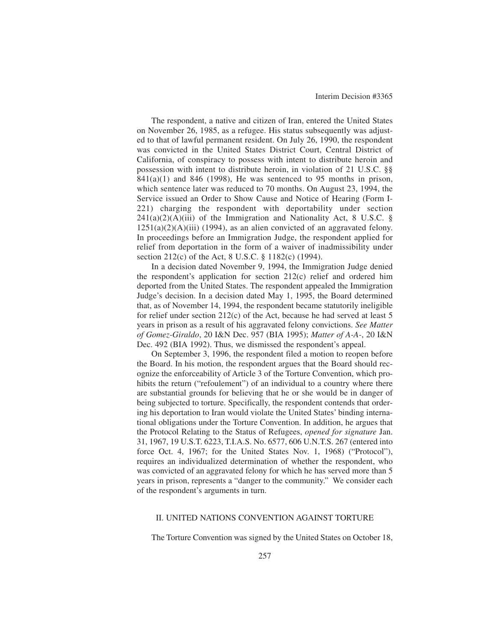The respondent, a native and citizen of Iran, entered the United States on November 26, 1985, as a refugee. His status subsequently was adjusted to that of lawful permanent resident. On July 26, 1990, the respondent was convicted in the United States District Court, Central District of California, of conspiracy to possess with intent to distribute heroin and possession with intent to distribute heroin, in violation of 21 U.S.C. §§  $841(a)(1)$  and  $846$  (1998), He was sentenced to 95 months in prison, which sentence later was reduced to 70 months. On August 23, 1994, the Service issued an Order to Show Cause and Notice of Hearing (Form I-221) charging the respondent with deportability under section  $241(a)(2)(A)(iii)$  of the Immigration and Nationality Act, 8 U.S.C. §  $1251(a)(2)(A)(iii)$  (1994), as an alien convicted of an aggravated felony. In proceedings before an Immigration Judge, the respondent applied for relief from deportation in the form of a waiver of inadmissibility under section 212(c) of the Act, 8 U.S.C. § 1182(c) (1994).

In a decision dated November 9, 1994, the Immigration Judge denied the respondent's application for section 212(c) relief and ordered him deported from the United States. The respondent appealed the Immigration Judge's decision. In a decision dated May 1, 1995, the Board determined that, as of November 14, 1994, the respondent became statutorily ineligible for relief under section 212(c) of the Act, because he had served at least 5 years in prison as a result of his aggravated felony convictions. *See Matter of Gomez-Giraldo*, 20 I&N Dec. 957 (BIA 1995); *Matter of A-A-*, 20 I&N Dec. 492 (BIA 1992). Thus, we dismissed the respondent's appeal.

On September 3, 1996, the respondent filed a motion to reopen before the Board. In his motion, the respondent argues that the Board should recognize the enforceability of Article 3 of the Torture Convention, which prohibits the return ("refoulement") of an individual to a country where there are substantial grounds for believing that he or she would be in danger of being subjected to torture. Specifically, the respondent contends that ordering his deportation to Iran would violate the United States' binding international obligations under the Torture Convention. In addition, he argues that the Protocol Relating to the Status of Refugees, *opened for signature* Jan. 31, 1967, 19 U.S.T. 6223, T.I.A.S. No. 6577, 606 U.N.T.S. 267 (entered into force Oct. 4, 1967; for the United States Nov. 1, 1968) ("Protocol"), requires an individualized determination of whether the respondent, who was convicted of an aggravated felony for which he has served more than 5 years in prison, represents a "danger to the community." We consider each of the respondent's arguments in turn.

## II. UNITED NATIONS CONVENTION AGAINST TORTURE

The Torture Convention was signed by the United States on October 18,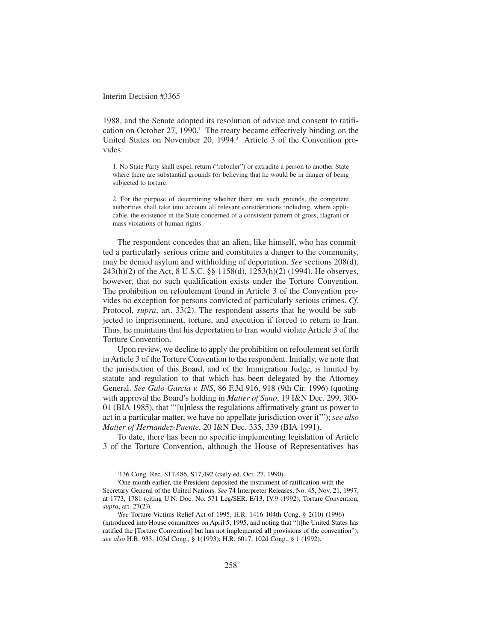1988, and the Senate adopted its resolution of advice and consent to ratification on October 27, 1990. $\scriptstyle\rm I$  The treaty became effectively binding on the United States on November 20, 1994.<sup>2</sup> Article 3 of the Convention provides:

1. No State Party shall expel, return ("refouler") or extradite a person to another State where there are substantial grounds for believing that he would be in danger of being subjected to torture.

2. For the purpose of determining whether there are such grounds, the competent authorities shall take into account all relevant considerations including, where applicable, the existence in the State concerned of a consistent pattern of gross, flagrant or mass violations of human rights.

The respondent concedes that an alien, like himself, who has committed a particularly serious crime and constitutes a danger to the community, may be denied asylum and withholding of deportation. *See* sections 208(d), 243(h)(2) of the Act, 8 U.S.C. §§ 1158(d), 1253(h)(2) (1994). He observes, however, that no such qualification exists under the Torture Convention. The prohibition on refoulement found in Article 3 of the Convention provides no exception for persons convicted of particularly serious crimes. *Cf.* Protocol, *supra*, art. 33(2). The respondent asserts that he would be subjected to imprisonment, torture, and execution if forced to return to Iran. Thus, he maintains that his deportation to Iran would violate Article 3 of the Torture Convention.

Upon review, we decline to apply the prohibition on refoulement set forth in Article 3 of the Torture Convention to the respondent. Initially, we note that the jurisdiction of this Board, and of the Immigration Judge, is limited by statute and regulation to that which has been delegated by the Attorney General. *See Galo-Garcia v. INS*, 86 F.3d 916, 918 (9th Cir. 1996) (quoting with approval the Board's holding in *Matter of Sano*, 19 I&N Dec. 299, 300- 01 (BIA 1985), that "'[u]nless the regulations affirmatively grant us power to act in a particular matter, we have no appellate jurisdiction over it'"); *see also Matter of Hernandez-Puente*, 20 I&N Dec. 335, 339 (BIA 1991).

To date, there has been no specific implementing legislation of Article 3 of the Torture Convention, although the House of Representatives has

<sup>1</sup> 136 Cong. Rec. S17,486, S17,492 (daily ed. Oct. 27, 1990).

<sup>2</sup> One month earlier, the President deposited the instrument of ratification with the Secretary-General of the United Nations. *See* 74 Interpreter Releases, No. 45, Nov. 21, 1997, at 1773, 1781 (citing U.N. Doc. No. 571 Leg/SER. E/13, IV.9 (1992); Torture Convention, *supra*, art. 27(2)).

<sup>3</sup> *See* Torture Victims Relief Act of 1995, H.R. 1416 104th Cong. § 2(10) (1996) (introduced into House committees on April 5, 1995, and noting that "[t]he United States has ratified the [Torture Convention] but has not implemented all provisions of the convention"); *see also* H.R. 933, 103d Cong., § 1(1993); H.R. 6017, 102d Cong., § 1 (1992).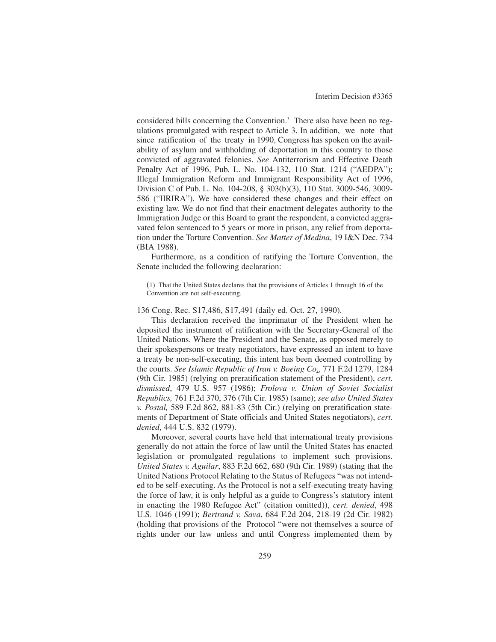considered bills concerning the Convention.<sup>3</sup> There also have been no regulations promulgated with respect to Article 3. In addition, we note that since ratification of the treaty in 1990, Congress has spoken on the availability of asylum and withholding of deportation in this country to those convicted of aggravated felonies. *See* Antiterrorism and Effective Death Penalty Act of 1996, Pub. L. No. 104-132, 110 Stat. 1214 ("AEDPA"); Illegal Immigration Reform and Immigrant Responsibility Act of 1996, Division C of Pub. L. No. 104-208, § 303(b)(3), 110 Stat. 3009-546, 3009- 586 ("IIRIRA"). We have considered these changes and their effect on existing law. We do not find that their enactment delegates authority to the Immigration Judge or this Board to grant the respondent, a convicted aggravated felon sentenced to 5 years or more in prison, any relief from deportation under the Torture Convention. *See Matter of Medina*, 19 I&N Dec. 734 (BIA 1988).

Furthermore, as a condition of ratifying the Torture Convention, the Senate included the following declaration:

(1) That the United States declares that the provisions of Articles 1 through 16 of the Convention are not self-executing.

136 Cong. Rec. S17,486, S17,491 (daily ed. Oct. 27, 1990).

This declaration received the imprimatur of the President when he deposited the instrument of ratification with the Secretary-General of the United Nations. Where the President and the Senate, as opposed merely to their spokespersons or treaty negotiators, have expressed an intent to have a treaty be non-self-executing, this intent has been deemed controlling by the courts. *See Islamic Republic of Iran v. Boeing Co*., 771 F.2d 1279, 1284 (9th Cir. 1985) (relying on preratification statement of the President), *cert. dismissed*, 479 U.S. 957 (1986); *Frolova v. Union of Soviet Socialist Republics,* 761 F.2d 370, 376 (7th Cir. 1985) (same); *see also United States v. Postal,* 589 F.2d 862, 881-83 (5th Cir.) (relying on preratification statements of Department of State officials and United States negotiators), *cert. denied*, 444 U.S. 832 (1979).

Moreover, several courts have held that international treaty provisions generally do not attain the force of law until the United States has enacted legislation or promulgated regulations to implement such provisions. *United States v. Aguilar*, 883 F.2d 662, 680 (9th Cir. 1989) (stating that the United Nations Protocol Relating to the Status of Refugees "was not intended to be self-executing. As the Protocol is not a self-executing treaty having the force of law, it is only helpful as a guide to Congress's statutory intent in enacting the 1980 Refugee Act" (citation omitted)), *cert. denied*, 498 U.S. 1046 (1991); *Bertrand v. Sava*, 684 F.2d 204, 218-19 (2d Cir. 1982) (holding that provisions of the Protocol "were not themselves a source of rights under our law unless and until Congress implemented them by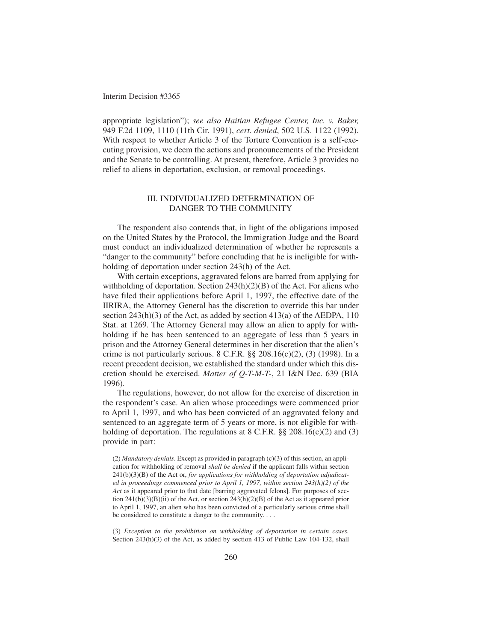appropriate legislation"); *see also Haitian Refugee Center, Inc. v. Baker,* 949 F.2d 1109, 1110 (11th Cir. 1991), *cert. denied*, 502 U.S. 1122 (1992). With respect to whether Article 3 of the Torture Convention is a self-executing provision, we deem the actions and pronouncements of the President and the Senate to be controlling. At present, therefore, Article 3 provides no relief to aliens in deportation, exclusion, or removal proceedings.

## III. INDIVIDUALIZED DETERMINATION OF DANGER TO THE COMMUNITY

The respondent also contends that, in light of the obligations imposed on the United States by the Protocol, the Immigration Judge and the Board must conduct an individualized determination of whether he represents a "danger to the community" before concluding that he is ineligible for withholding of deportation under section 243(h) of the Act.

With certain exceptions, aggravated felons are barred from applying for withholding of deportation. Section  $243(h)(2)(B)$  of the Act. For aliens who have filed their applications before April 1, 1997, the effective date of the IIRIRA, the Attorney General has the discretion to override this bar under section  $243(h)(3)$  of the Act, as added by section  $413(a)$  of the AEDPA, 110 Stat. at 1269. The Attorney General may allow an alien to apply for withholding if he has been sentenced to an aggregate of less than 5 years in prison and the Attorney General determines in her discretion that the alien's crime is not particularly serious. 8 C.F.R.  $\S$  208.16(c)(2), (3) (1998). In a recent precedent decision, we established the standard under which this discretion should be exercised. *Matter of Q-T-M-T-*, 21 I&N Dec. 639 (BIA 1996).

The regulations, however, do not allow for the exercise of discretion in the respondent's case. An alien whose proceedings were commenced prior to April 1, 1997, and who has been convicted of an aggravated felony and sentenced to an aggregate term of 5 years or more, is not eligible for withholding of deportation. The regulations at 8 C.F.R. §§ 208.16(c)(2) and (3) provide in part:

(2) *Mandatory denials*. Except as provided in paragraph (c)(3) of this section, an application for withholding of removal *shall be denied* if the applicant falls within section 241(b)(3)(B) of the Act or, *for applications for withholding of deportation adjudicated in proceedings commenced prior to April 1, 1997, within section 243(h)(2) of the Act* as it appeared prior to that date [barring aggravated felons]. For purposes of section  $241(b)(3)(B)(ii)$  of the Act, or section  $243(h)(2)(B)$  of the Act as it appeared prior to April 1, 1997, an alien who has been convicted of a particularly serious crime shall be considered to constitute a danger to the community. . . .

(3) *Exception to the prohibition on withholding of deportation in certain cases.* Section 243(h)(3) of the Act, as added by section 413 of Public Law 104-132, shall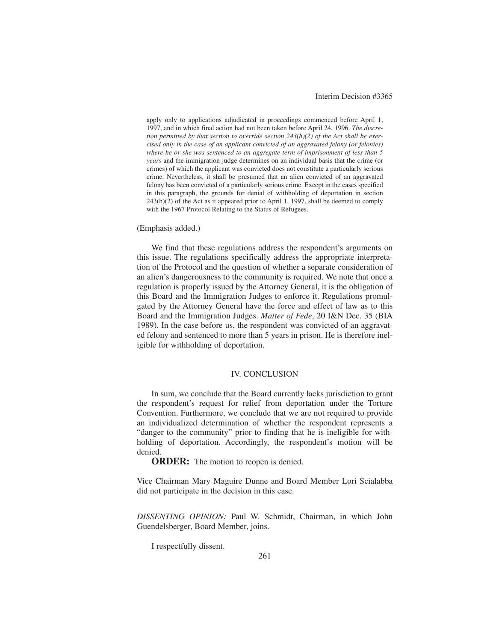apply only to applications adjudicated in proceedings commenced before April 1, 1997, and in which final action had not been taken before April 24, 1996. *The discretion permitted by that section to override section 243(h)(2) of the Act shall be exercised only in the case of an applicant convicted of an aggravated felony (or felonies) where he or she was sentenced to an aggregate term of imprisonment of less than 5 years* and the immigration judge determines on an individual basis that the crime (or crimes) of which the applicant was convicted does not constitute a particularly serious crime. Nevertheless, it shall be presumed that an alien convicted of an aggravated felony has been convicted of a particularly serious crime. Except in the cases specified in this paragraph, the grounds for denial of withholding of deportation in section 243(h)(2) of the Act as it appeared prior to April 1, 1997, shall be deemed to comply with the 1967 Protocol Relating to the Status of Refugees.

#### (Emphasis added.)

We find that these regulations address the respondent's arguments on this issue. The regulations specifically address the appropriate interpretation of the Protocol and the question of whether a separate consideration of an alien's dangerousness to the community is required. We note that once a regulation is properly issued by the Attorney General, it is the obligation of this Board and the Immigration Judges to enforce it. Regulations promulgated by the Attorney General have the force and effect of law as to this Board and the Immigration Judges. *Matter of Fede*, 20 I&N Dec. 35 (BIA 1989). In the case before us, the respondent was convicted of an aggravated felony and sentenced to more than 5 years in prison. He is therefore ineligible for withholding of deportation.

### IV. CONCLUSION

In sum, we conclude that the Board currently lacks jurisdiction to grant the respondent's request for relief from deportation under the Torture Convention. Furthermore, we conclude that we are not required to provide an individualized determination of whether the respondent represents a "danger to the community" prior to finding that he is ineligible for withholding of deportation. Accordingly, the respondent's motion will be denied.

**ORDER:** The motion to reopen is denied.

Vice Chairman Mary Maguire Dunne and Board Member Lori Scialabba did not participate in the decision in this case.

*DISSENTING OPINION:* Paul W. Schmidt, Chairman, in which John Guendelsberger, Board Member, joins.

I respectfully dissent.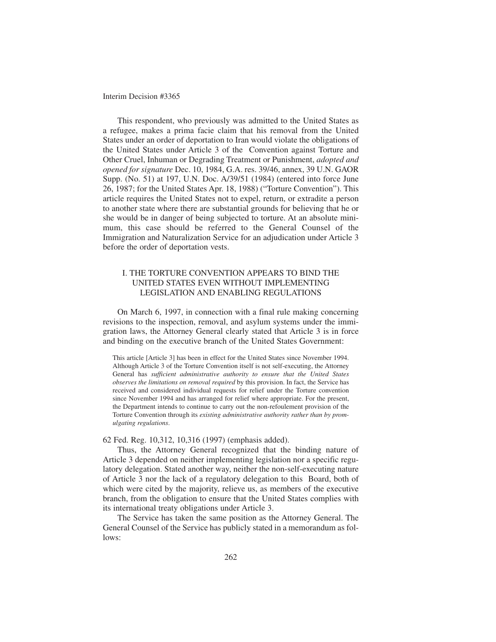This respondent, who previously was admitted to the United States as a refugee, makes a prima facie claim that his removal from the United States under an order of deportation to Iran would violate the obligations of the United States under Article 3 of the Convention against Torture and Other Cruel, Inhuman or Degrading Treatment or Punishment, *adopted and opened for signature* Dec. 10, 1984, G.A. res. 39/46, annex, 39 U.N. GAOR Supp. (No. 51) at 197, U.N. Doc. A/39/51 (1984) (entered into force June 26, 1987; for the United States Apr. 18, 1988) ("Torture Convention"). This article requires the United States not to expel, return, or extradite a person to another state where there are substantial grounds for believing that he or she would be in danger of being subjected to torture. At an absolute minimum, this case should be referred to the General Counsel of the Immigration and Naturalization Service for an adjudication under Article 3 before the order of deportation vests.

# I. THE TORTURE CONVENTION APPEARS TO BIND THE UNITED STATES EVEN WITHOUT IMPLEMENTING LEGISLATION AND ENABLING REGULATIONS

On March 6, 1997, in connection with a final rule making concerning revisions to the inspection, removal, and asylum systems under the immigration laws, the Attorney General clearly stated that Article 3 is in force and binding on the executive branch of the United States Government:

This article [Article 3] has been in effect for the United States since November 1994. Although Article 3 of the Torture Convention itself is not self-executing, the Attorney General has *sufficient administrative authority to ensure that the United States observes the limitations on removal required* by this provision. In fact, the Service has received and considered individual requests for relief under the Torture convention since November 1994 and has arranged for relief where appropriate. For the present, the Department intends to continue to carry out the non-refoulement provision of the Torture Convention through its *existing administrative authority rather than by promulgating regulations*.

#### 62 Fed. Reg. 10,312, 10,316 (1997) (emphasis added).

Thus, the Attorney General recognized that the binding nature of Article 3 depended on neither implementing legislation nor a specific regulatory delegation. Stated another way, neither the non-self-executing nature of Article 3 nor the lack of a regulatory delegation to this Board, both of which were cited by the majority, relieve us, as members of the executive branch, from the obligation to ensure that the United States complies with its international treaty obligations under Article 3.

The Service has taken the same position as the Attorney General. The General Counsel of the Service has publicly stated in a memorandum as follows: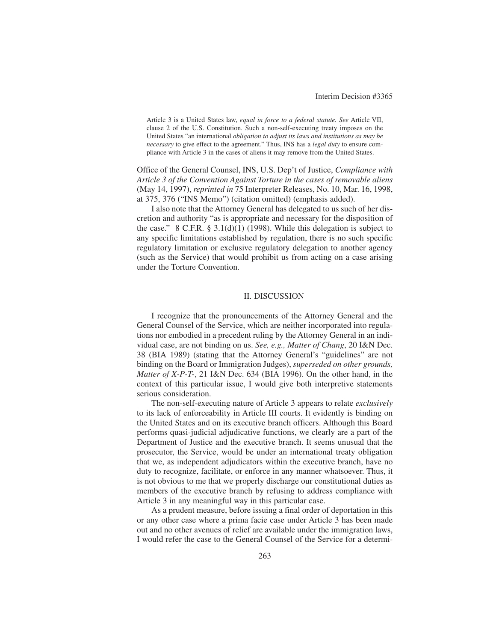Article 3 is a United States law, *equal in force to a federal statute. See* Article VII, clause 2 of the U.S. Constitution. Such a non-self-executing treaty imposes on the United States "an international *obligation to adjust its laws and institutions as may be necessary* to give effect to the agreement." Thus, INS has a *legal duty* to ensure compliance with Article 3 in the cases of aliens it may remove from the United States.

Office of the General Counsel, INS, U.S. Dep't of Justice, *Compliance with Article 3 of the Convention Against Torture in the cases of removable aliens* (May 14, 1997), *reprinted in* 75 Interpreter Releases, No. 10, Mar. 16, 1998, at 375, 376 ("INS Memo") (citation omitted) (emphasis added).

I also note that the Attorney General has delegated to us such of her discretion and authority "as is appropriate and necessary for the disposition of the case." 8 C.F.R.  $\S 3.1(d)(1)$  (1998). While this delegation is subject to any specific limitations established by regulation, there is no such specific regulatory limitation or exclusive regulatory delegation to another agency (such as the Service) that would prohibit us from acting on a case arising under the Torture Convention.

## II. DISCUSSION

I recognize that the pronouncements of the Attorney General and the General Counsel of the Service, which are neither incorporated into regulations nor embodied in a precedent ruling by the Attorney General in an individual case, are not binding on us. *See, e.g., Matter of Chang*, 20 I&N Dec. 38 (BIA 1989) (stating that the Attorney General's "guidelines" are not binding on the Board or Immigration Judges), *superseded on other grounds, Matter of X-P-T-*, 21 I&N Dec. 634 (BIA 1996). On the other hand, in the context of this particular issue, I would give both interpretive statements serious consideration.

The non-self-executing nature of Article 3 appears to relate *exclusively* to its lack of enforceability in Article III courts. It evidently is binding on the United States and on its executive branch officers. Although this Board performs quasi-judicial adjudicative functions, we clearly are a part of the Department of Justice and the executive branch. It seems unusual that the prosecutor, the Service, would be under an international treaty obligation that we, as independent adjudicators within the executive branch, have no duty to recognize, facilitate, or enforce in any manner whatsoever. Thus, it is not obvious to me that we properly discharge our constitutional duties as members of the executive branch by refusing to address compliance with Article 3 in any meaningful way in this particular case.

As a prudent measure, before issuing a final order of deportation in this or any other case where a prima facie case under Article 3 has been made out and no other avenues of relief are available under the immigration laws, I would refer the case to the General Counsel of the Service for a determi-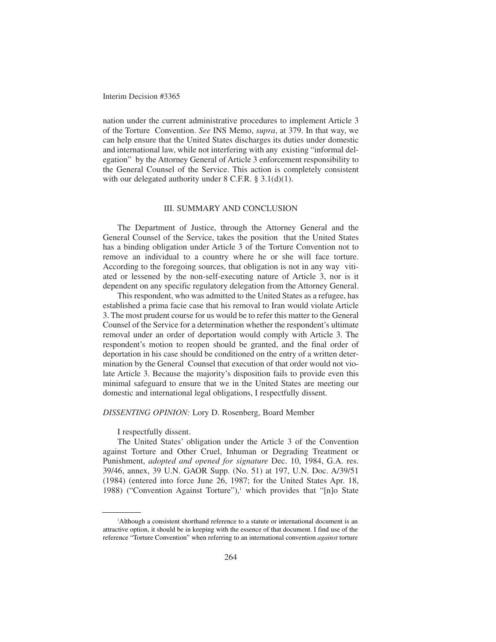nation under the current administrative procedures to implement Article 3 of the Torture Convention. *See* INS Memo, *supra*, at 379. In that way, we can help ensure that the United States discharges its duties under domestic and international law, while not interfering with any existing "informal delegation" by the Attorney General of Article 3 enforcement responsibility to the General Counsel of the Service. This action is completely consistent with our delegated authority under 8 C.F.R. § 3.1(d)(1).

### III. SUMMARY AND CONCLUSION

The Department of Justice, through the Attorney General and the General Counsel of the Service, takes the position that the United States has a binding obligation under Article 3 of the Torture Convention not to remove an individual to a country where he or she will face torture. According to the foregoing sources, that obligation is not in any way vitiated or lessened by the non-self-executing nature of Article 3, nor is it dependent on any specific regulatory delegation from the Attorney General.

This respondent, who was admitted to the United States as a refugee, has established a prima facie case that his removal to Iran would violate Article 3. The most prudent course for us would be to refer this matter to the General Counsel of the Service for a determination whether the respondent's ultimate removal under an order of deportation would comply with Article 3. The respondent's motion to reopen should be granted, and the final order of deportation in his case should be conditioned on the entry of a written determination by the General Counsel that execution of that order would not violate Article 3. Because the majority's disposition fails to provide even this minimal safeguard to ensure that we in the United States are meeting our domestic and international legal obligations, I respectfully dissent.

### *DISSENTING OPINION:* Lory D. Rosenberg, Board Member

I respectfully dissent.

The United States' obligation under the Article 3 of the Convention against Torture and Other Cruel, Inhuman or Degrading Treatment or Punishment, *adopted and opened for signature* Dec. 10, 1984, G.A. res. 39/46, annex, 39 U.N. GAOR Supp. (No. 51) at 197, U.N. Doc. A/39/51 (1984) (entered into force June 26, 1987; for the United States Apr. 18, 1988) ("Convention Against Torture"), $\frac{1}{1}$  which provides that "[n]o State

<sup>1</sup> Although a consistent shorthand reference to a statute or international document is an attractive option, it should be in keeping with the essence of that document. I find use of the reference "Torture Convention" when referring to an international convention *against* torture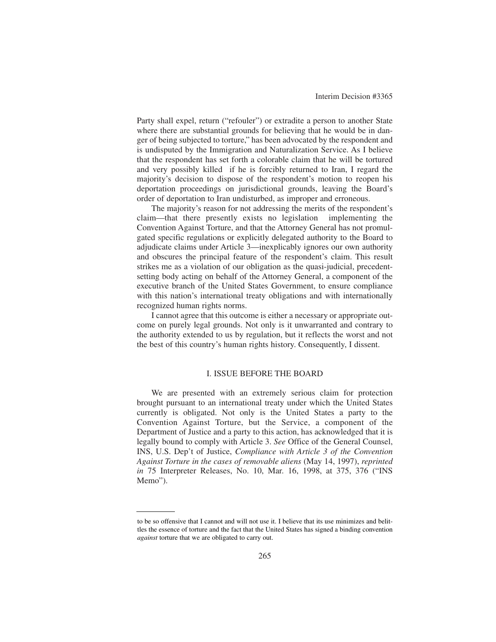Party shall expel, return ("refouler") or extradite a person to another State where there are substantial grounds for believing that he would be in danger of being subjected to torture," has been advocated by the respondent and is undisputed by the Immigration and Naturalization Service. As I believe that the respondent has set forth a colorable claim that he will be tortured and very possibly killed if he is forcibly returned to Iran, I regard the majority's decision to dispose of the respondent's motion to reopen his deportation proceedings on jurisdictional grounds, leaving the Board's order of deportation to Iran undisturbed, as improper and erroneous.

The majority's reason for not addressing the merits of the respondent's claim—that there presently exists no legislation implementing the Convention Against Torture, and that the Attorney General has not promulgated specific regulations or explicitly delegated authority to the Board to adjudicate claims under Article 3—inexplicably ignores our own authority and obscures the principal feature of the respondent's claim. This result strikes me as a violation of our obligation as the quasi-judicial, precedentsetting body acting on behalf of the Attorney General, a component of the executive branch of the United States Government, to ensure compliance with this nation's international treaty obligations and with internationally recognized human rights norms.

I cannot agree that this outcome is either a necessary or appropriate outcome on purely legal grounds. Not only is it unwarranted and contrary to the authority extended to us by regulation, but it reflects the worst and not the best of this country's human rights history. Consequently, I dissent.

## I. ISSUE BEFORE THE BOARD

We are presented with an extremely serious claim for protection brought pursuant to an international treaty under which the United States currently is obligated. Not only is the United States a party to the Convention Against Torture, but the Service, a component of the Department of Justice and a party to this action, has acknowledged that it is legally bound to comply with Article 3. *See* Office of the General Counsel, INS, U.S. Dep't of Justice, *Compliance with Article 3 of the Convention Against Torture in the cases of removable aliens* (May 14, 1997), *reprinted in* 75 Interpreter Releases, No. 10, Mar. 16, 1998, at 375, 376 ("INS Memo").

to be so offensive that I cannot and will not use it. I believe that its use minimizes and belittles the essence of torture and the fact that the United States has signed a binding convention *against* torture that we are obligated to carry out.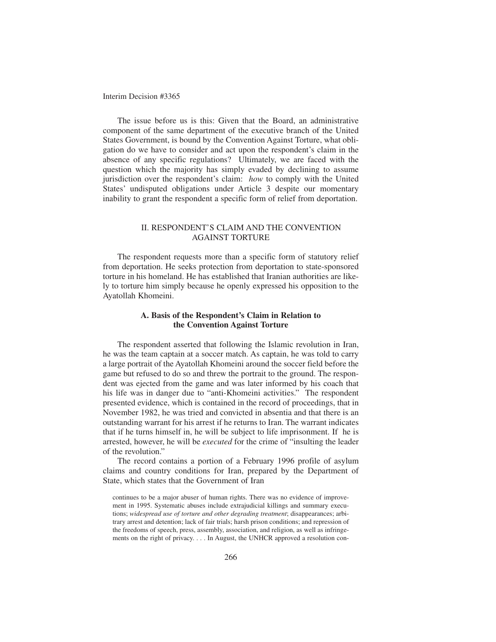The issue before us is this: Given that the Board, an administrative component of the same department of the executive branch of the United States Government, is bound by the Convention Against Torture, what obligation do we have to consider and act upon the respondent's claim in the absence of any specific regulations? Ultimately, we are faced with the question which the majority has simply evaded by declining to assume jurisdiction over the respondent's claim: *how* to comply with the United States' undisputed obligations under Article 3 despite our momentary inability to grant the respondent a specific form of relief from deportation.

# II. RESPONDENT'S CLAIM AND THE CONVENTION AGAINST TORTURE

The respondent requests more than a specific form of statutory relief from deportation. He seeks protection from deportation to state-sponsored torture in his homeland. He has established that Iranian authorities are likely to torture him simply because he openly expressed his opposition to the Ayatollah Khomeini.

## **A. Basis of the Respondent's Claim in Relation to the Convention Against Torture**

The respondent asserted that following the Islamic revolution in Iran, he was the team captain at a soccer match. As captain, he was told to carry a large portrait of the Ayatollah Khomeini around the soccer field before the game but refused to do so and threw the portrait to the ground. The respondent was ejected from the game and was later informed by his coach that his life was in danger due to "anti-Khomeini activities." The respondent presented evidence, which is contained in the record of proceedings, that in November 1982, he was tried and convicted in absentia and that there is an outstanding warrant for his arrest if he returns to Iran. The warrant indicates that if he turns himself in, he will be subject to life imprisonment. If he is arrested, however, he will be *executed* for the crime of "insulting the leader of the revolution."

The record contains a portion of a February 1996 profile of asylum claims and country conditions for Iran, prepared by the Department of State, which states that the Government of Iran

continues to be a major abuser of human rights. There was no evidence of improvement in 1995. Systematic abuses include extrajudicial killings and summary executions; *widespread use of torture and other degrading treatment*; disappearances; arbitrary arrest and detention; lack of fair trials; harsh prison conditions; and repression of the freedoms of speech, press, assembly, association, and religion, as well as infringements on the right of privacy. . . . In August, the UNHCR approved a resolution con-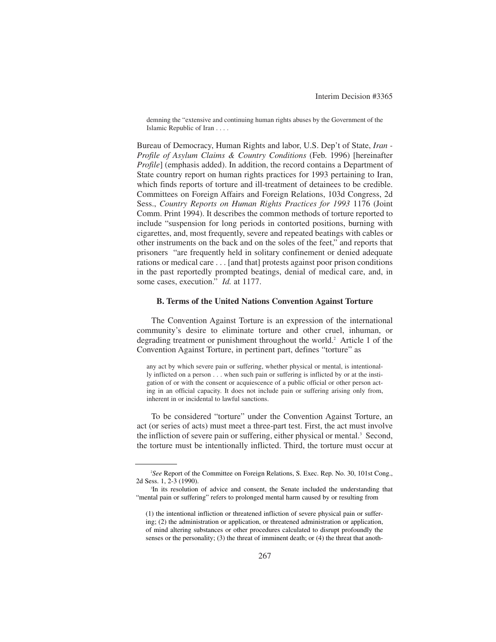demning the "extensive and continuing human rights abuses by the Government of the Islamic Republic of Iran . . . .

Bureau of Democracy, Human Rights and labor, U.S. Dep't of State, *Iran - Profile of Asylum Claims & Country Conditions* (Feb. 1996) [hereinafter *Profile*] (emphasis added). In addition, the record contains a Department of State country report on human rights practices for 1993 pertaining to Iran, which finds reports of torture and ill-treatment of detainees to be credible. Committees on Foreign Affairs and Foreign Relations, 103d Congress, 2d Sess., *Country Reports on Human Rights Practices for 1993* 1176 (Joint Comm. Print 1994). It describes the common methods of torture reported to include "suspension for long periods in contorted positions, burning with cigarettes, and, most frequently, severe and repeated beatings with cables or other instruments on the back and on the soles of the feet," and reports that prisoners "are frequently held in solitary confinement or denied adequate rations or medical care . . . [and that] protests against poor prison conditions in the past reportedly prompted beatings, denial of medical care, and, in some cases, execution." *Id.* at 1177.

## **B. Terms of the United Nations Convention Against Torture**

The Convention Against Torture is an expression of the international community's desire to eliminate torture and other cruel, inhuman, or degrading treatment or punishment throughout the world.<sup>2</sup> Article 1 of the Convention Against Torture, in pertinent part, defines "torture" as

any act by which severe pain or suffering, whether physical or mental, is intentionally inflicted on a person . . . when such pain or suffering is inflicted by or at the instigation of or with the consent or acquiescence of a public official or other person acting in an official capacity. It does not include pain or suffering arising only from, inherent in or incidental to lawful sanctions.

To be considered "torture" under the Convention Against Torture, an act (or series of acts) must meet a three-part test. First, the act must involve the infliction of severe pain or suffering, either physical or mental.<sup>3</sup> Second, the torture must be intentionally inflicted. Third, the torture must occur at

<sup>2</sup> *See* Report of the Committee on Foreign Relations, S. Exec. Rep. No. 30, 101st Cong., 2d Sess. 1, 2-3 (1990).

<sup>&</sup>lt;sup>3</sup>In its resolution of advice and consent, the Senate included the understanding that "mental pain or suffering" refers to prolonged mental harm caused by or resulting from

<sup>(1)</sup> the intentional infliction or threatened infliction of severe physical pain or suffering; (2) the administration or application, or threatened administration or application, of mind altering substances or other procedures calculated to disrupt profoundly the senses or the personality; (3) the threat of imminent death; or (4) the threat that anoth-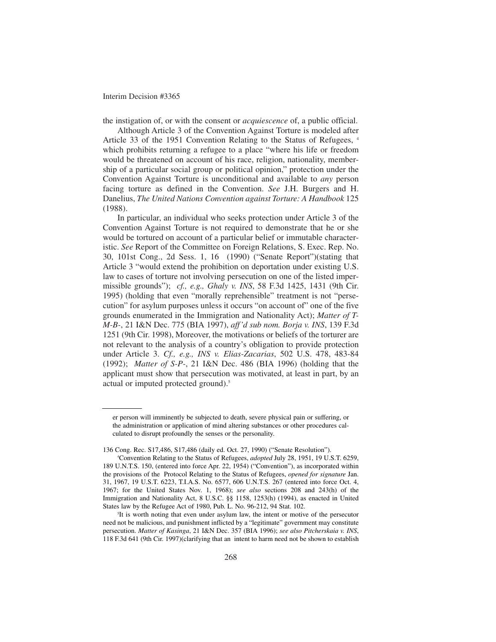the instigation of, or with the consent or *acquiescence* of, a public official.

Although Article 3 of the Convention Against Torture is modeled after Article 33 of the 1951 Convention Relating to the Status of Refugees,  $4\pi$ which prohibits returning a refugee to a place "where his life or freedom would be threatened on account of his race, religion, nationality, membership of a particular social group or political opinion," protection under the Convention Against Torture is unconditional and available to *any* person facing torture as defined in the Convention. *See* J.H. Burgers and H. Danelius, *The United Nations Convention against Torture: A Handbook* 125 (1988).

In particular, an individual who seeks protection under Article 3 of the Convention Against Torture is not required to demonstrate that he or she would be tortured on account of a particular belief or immutable characteristic. *See* Report of the Committee on Foreign Relations, S. Exec. Rep. No. 30, 101st Cong., 2d Sess. 1, 16 (1990) ("Senate Report")(stating that Article 3 "would extend the prohibition on deportation under existing U.S. law to cases of torture not involving persecution on one of the listed impermissible grounds"); *cf., e.g., Ghaly v. INS*, 58 F.3d 1425, 1431 (9th Cir. 1995) (holding that even "morally reprehensible" treatment is not "persecution" for asylum purposes unless it occurs "on account of" one of the five grounds enumerated in the Immigration and Nationality Act); *Matter of T-M-B-*, 21 I&N Dec. 775 (BIA 1997), *aff'd sub nom. Borja v. INS*, 139 F.3d 1251 (9th Cir. 1998), Moreover, the motivations or beliefs of the torturer are not relevant to the analysis of a country's obligation to provide protection under Article 3. *Cf., e.g., INS v. Elias-Zacarias*, 502 U.S. 478, 483-84 (1992); *Matter of S-P-*, 21 I&N Dec. 486 (BIA 1996) (holding that the applicant must show that persecution was motivated, at least in part, by an actual or imputed protected ground).<sup>5</sup>

er person will imminently be subjected to death, severe physical pain or suffering, or the administration or application of mind altering substances or other procedures calculated to disrupt profoundly the senses or the personality.

<sup>136</sup> Cong. Rec. S17,486, S17,486 (daily ed. Oct. 27, 1990) ("Senate Resolution").

<sup>4</sup> Convention Relating to the Status of Refugees, *adopted* July 28, 1951, 19 U.S.T. 6259, 189 U.N.T.S. 150, (entered into force Apr. 22, 1954) ("Convention"), as incorporated within the provisions of the Protocol Relating to the Status of Refugees, *opened for signature* Jan. 31, 1967, 19 U.S.T. 6223, T.I.A.S. No. 6577, 606 U.N.T.S. 267 (entered into force Oct. 4, 1967; for the United States Nov. 1, 1968); *see also* sections 208 and 243(h) of the Immigration and Nationality Act, 8 U.S.C. §§ 1158, 1253(h) (1994), as enacted in United States law by the Refugee Act of 1980, Pub. L. No. 96-212, 94 Stat. 102.

<sup>5</sup> It is worth noting that even under asylum law, the intent or motive of the persecutor need not be malicious, and punishment inflicted by a "legitimate" government may constitute persecution. *Matter of Kasinga*, 21 I&N Dec. 357 (BIA 1996); *see also Pitcherskaia v. INS*, 118 F.3d 641 (9th Cir. 1997)(clarifying that an intent to harm need not be shown to establish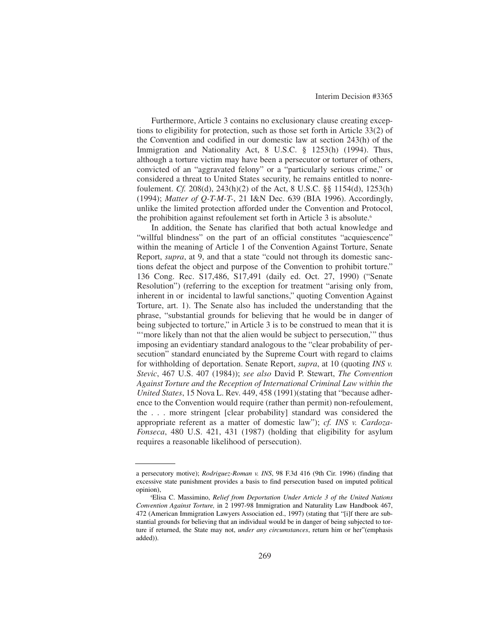Furthermore, Article 3 contains no exclusionary clause creating exceptions to eligibility for protection, such as those set forth in Article 33(2) of the Convention and codified in our domestic law at section 243(h) of the Immigration and Nationality Act, 8 U.S.C. § 1253(h) (1994). Thus, although a torture victim may have been a persecutor or torturer of others, convicted of an "aggravated felony" or a "particularly serious crime," or considered a threat to United States security, he remains entitled to nonrefoulement. *Cf.* 208(d), 243(h)(2) of the Act, 8 U.S.C. §§ 1154(d), 1253(h) (1994); *Matter of Q-T-M-T-*, 21 I&N Dec. 639 (BIA 1996). Accordingly, unlike the limited protection afforded under the Convention and Protocol, the prohibition against refoulement set forth in Article 3 is absolute.<sup>6</sup>

In addition, the Senate has clarified that both actual knowledge and "willful blindness" on the part of an official constitutes "acquiescence" within the meaning of Article 1 of the Convention Against Torture, Senate Report, *supra*, at 9, and that a state "could not through its domestic sanctions defeat the object and purpose of the Convention to prohibit torture." 136 Cong. Rec. S17,486, S17,491 (daily ed. Oct. 27, 1990) ("Senate Resolution") (referring to the exception for treatment "arising only from, inherent in or incidental to lawful sanctions," quoting Convention Against Torture, art. 1). The Senate also has included the understanding that the phrase, "substantial grounds for believing that he would be in danger of being subjected to torture," in Article 3 is to be construed to mean that it is "'more likely than not that the alien would be subject to persecution," thus imposing an evidentiary standard analogous to the "clear probability of persecution" standard enunciated by the Supreme Court with regard to claims for withholding of deportation. Senate Report, *supra*, at 10 (quoting *INS v. Stevic*, 467 U.S. 407 (1984)); *see also* David P. Stewart, *The Convention Against Torture and the Reception of International Criminal Law within the United States*, 15 Nova L. Rev. 449, 458 (1991)(stating that "because adherence to the Convention would require (rather than permit) non-refoulement, the . . . more stringent [clear probability] standard was considered the appropriate referent as a matter of domestic law"); *cf. INS v. Cardoza-Fonseca*, 480 U.S. 421, 431 (1987) (holding that eligibility for asylum requires a reasonable likelihood of persecution).

a persecutory motive); *Rodriguez-Roman v. INS*, 98 F.3d 416 (9th Cir. 1996) (finding that excessive state punishment provides a basis to find persecution based on imputed political opinion),

<sup>6</sup> Elisa C. Massimino, *Relief from Deportation Under Article 3 of the United Nations Convention Against Torture,* in 2 1997-98 Immigration and Naturality Law Handbook 467, 472 (American Immigration Lawyers Association ed., 1997) (stating that "[i]f there are substantial grounds for believing that an individual would be in danger of being subjected to torture if returned, the State may not, *under any circumstances*, return him or her"(emphasis added)).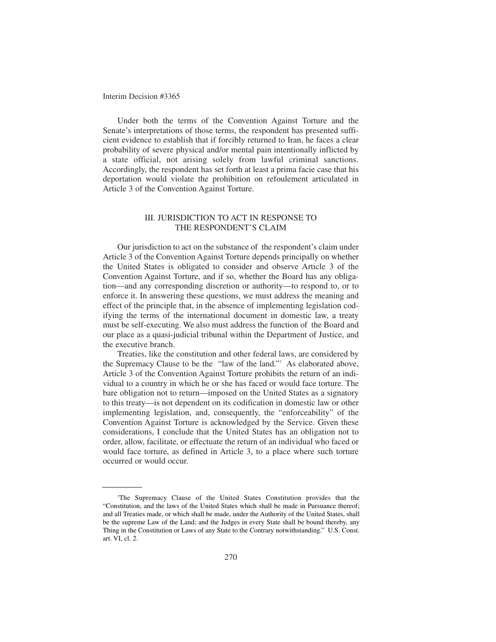Under both the terms of the Convention Against Torture and the Senate's interpretations of those terms, the respondent has presented sufficient evidence to establish that if forcibly returned to Iran, he faces a clear probability of severe physical and/or mental pain intentionally inflicted by a state official, not arising solely from lawful criminal sanctions. Accordingly, the respondent has set forth at least a prima facie case that his deportation would violate the prohibition on refoulement articulated in Article 3 of the Convention Against Torture.

## III. JURISDICTION TO ACT IN RESPONSE TO THE RESPONDENT'S CLAIM

Our jurisdiction to act on the substance of the respondent's claim under Article 3 of the Convention Against Torture depends principally on whether the United States is obligated to consider and observe Article 3 of the Convention Against Torture, and if so, whether the Board has any obligation—and any corresponding discretion or authority—to respond to, or to enforce it. In answering these questions, we must address the meaning and effect of the principle that, in the absence of implementing legislation codifying the terms of the international document in domestic law, a treaty must be self-executing. We also must address the function of the Board and our place as a quasi-judicial tribunal within the Department of Justice, and the executive branch.

Treaties, like the constitution and other federal laws, are considered by the Supremacy Clause to be the "law of the land."7 As elaborated above, Article 3 of the Convention Against Torture prohibits the return of an individual to a country in which he or she has faced or would face torture. The bare obligation not to return—imposed on the United States as a signatory to this treaty—is not dependent on its codification in domestic law or other implementing legislation, and, consequently, the "enforceability" of the Convention Against Torture is acknowledged by the Service. Given these considerations, I conclude that the United States has an obligation not to order, allow, facilitate, or effectuate the return of an individual who faced or would face torture, as defined in Article 3, to a place where such torture occurred or would occur.

<sup>7</sup> The Supremacy Clause of the United States Constitution provides that the "Constitution, and the laws of the United States which shall be made in Pursuance thereof; and all Treaties made, or which shall be made, under the Authority of the United States, shall be the supreme Law of the Land; and the Judges in every State shall be bound thereby, any Thing in the Constitution or Laws of any State to the Contrary notwithstanding." U.S. Const. art. VI, cl. 2.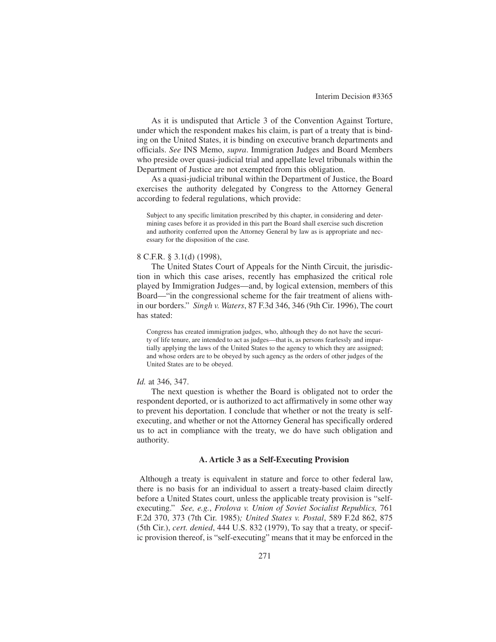As it is undisputed that Article 3 of the Convention Against Torture, under which the respondent makes his claim, is part of a treaty that is binding on the United States, it is binding on executive branch departments and officials. *See* INS Memo, *supra*. Immigration Judges and Board Members who preside over quasi-judicial trial and appellate level tribunals within the Department of Justice are not exempted from this obligation.

As a quasi-judicial tribunal within the Department of Justice, the Board exercises the authority delegated by Congress to the Attorney General according to federal regulations, which provide:

Subject to any specific limitation prescribed by this chapter, in considering and determining cases before it as provided in this part the Board shall exercise such discretion and authority conferred upon the Attorney General by law as is appropriate and necessary for the disposition of the case.

#### 8 C.F.R. § 3.1(d) (1998),

The United States Court of Appeals for the Ninth Circuit, the jurisdiction in which this case arises, recently has emphasized the critical role played by Immigration Judges—and, by logical extension, members of this Board—"in the congressional scheme for the fair treatment of aliens within our borders." *Singh v. Waters*, 87 F.3d 346, 346 (9th Cir. 1996), The court has stated:

Congress has created immigration judges, who, although they do not have the security of life tenure, are intended to act as judges—that is, as persons fearlessly and impartially applying the laws of the United States to the agency to which they are assigned; and whose orders are to be obeyed by such agency as the orders of other judges of the United States are to be obeyed.

#### *Id.* at 346, 347.

The next question is whether the Board is obligated not to order the respondent deported, or is authorized to act affirmatively in some other way to prevent his deportation. I conclude that whether or not the treaty is selfexecuting, and whether or not the Attorney General has specifically ordered us to act in compliance with the treaty, we do have such obligation and authority.

### **A. Article 3 as a Self-Executing Provision**

Although a treaty is equivalent in stature and force to other federal law, there is no basis for an individual to assert a treaty-based claim directly before a United States court, unless the applicable treaty provision is "selfexecuting." *See, e.g.*, *Frolova v. Union of Soviet Socialist Republics,* 761 F.2d 370, 373 (7th Cir. 1985)*; United States v. Postal*, 589 F.2d 862, 875 (5th Cir.), *cert. denied*, 444 U.S. 832 (1979), To say that a treaty, or specific provision thereof, is "self-executing" means that it may be enforced in the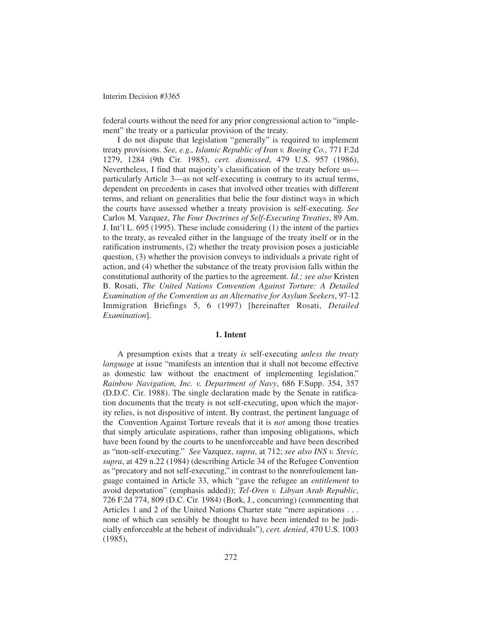federal courts without the need for any prior congressional action to "implement" the treaty or a particular provision of the treaty.

I do not dispute that legislation "generally" is required to implement treaty provisions. *See, e.g., Islamic Republic of Iran v. Boeing Co.,* 771 F.2d 1279, 1284 (9th Cir. 1985), *cert. dismissed*, 479 U.S. 957 (1986), Nevertheless, I find that majority's classification of the treaty before us particularly Article 3—as not self-executing is contrary to its actual terms, dependent on precedents in cases that involved other treaties with different terms, and reliant on generalities that belie the four distinct ways in which the courts have assessed whether a treaty provision is self-executing. *See* Carlos M. Vazquez, *The Four Doctrines of Self-Executing Treaties*, 89 Am. J. Int'l L. 695 (1995). These include considering (1) the intent of the parties to the treaty, as revealed either in the language of the treaty itself or in the ratification instruments, (2) whether the treaty provision poses a justiciable question, (3) whether the provision conveys to individuals a private right of action, and (4) whether the substance of the treaty provision falls within the constitutional authority of the parties to the agreement. *Id.; see also* Kristen B. Rosati, *The United Nations Convention Against Torture: A Detailed Examination of the Convention as an Alternative for Asylum Seekers*, 97-12 Immigration Briefings 5, 6 (1997) [hereinafter Rosati, *Detailed Examination*].

## **1. Intent**

A presumption exists that a treaty *is* self-executing *unless the treaty language* at issue "manifests an intention that it shall not become effective as domestic law without the enactment of implementing legislation." *Rainbow Navigation, Inc. v. Department of Navy*, 686 F.Supp. 354, 357 (D.D.C. Cir. 1988). The single declaration made by the Senate in ratification documents that the treaty is not self-executing, upon which the majority relies, is not dispositive of intent. By contrast, the pertinent language of the Convention Against Torture reveals that it is *not* among those treaties that simply articulate aspirations, rather than imposing obligations, which have been found by the courts to be unenforceable and have been described as "non-self-executing." *See* Vazquez, *supra*, at 712; *see also INS v. Stevic, supra*, at 429 n.22 (1984) (describing Article 34 of the Refugee Convention as "precatory and not self-executing," in contrast to the nonrefoulement language contained in Article 33, which "gave the refugee an *entitlement* to avoid deportation" (emphasis added)); *Tel-Oren v. Libyan Arab Republic*, 726 F.2d 774, 809 (D.C. Cir. 1984) (Bork, J., concurring) (commenting that Articles 1 and 2 of the United Nations Charter state "mere aspirations . . . none of which can sensibly be thought to have been intended to be judicially enforceable at the behest of individuals"), *cert. denied*, 470 U.S. 1003 (1985),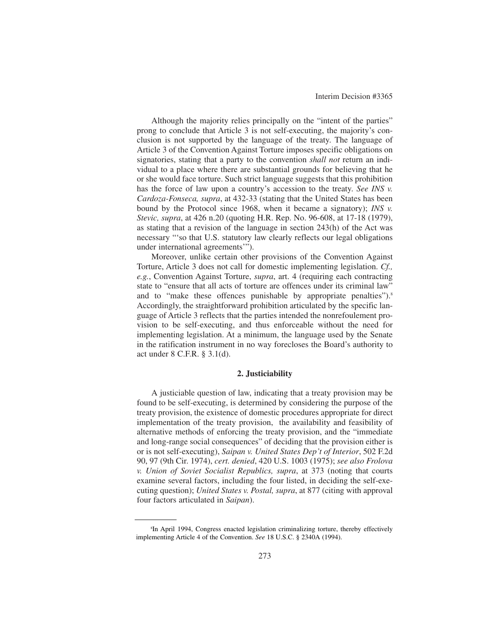Although the majority relies principally on the "intent of the parties" prong to conclude that Article 3 is not self-executing, the majority's conclusion is not supported by the language of the treaty. The language of Article 3 of the Convention Against Torture imposes specific obligations on signatories, stating that a party to the convention *shall not* return an individual to a place where there are substantial grounds for believing that he or she would face torture. Such strict language suggests that this prohibition has the force of law upon a country's accession to the treaty. *See INS v. Cardoza-Fonseca, supra*, at 432-33 (stating that the United States has been bound by the Protocol since 1968, when it became a signatory); *INS v. Stevic, supra*, at 426 n.20 (quoting H.R. Rep. No. 96-608, at 17-18 (1979), as stating that a revision of the language in section 243(h) of the Act was necessary "'so that U.S. statutory law clearly reflects our legal obligations under international agreements'").

Moreover, unlike certain other provisions of the Convention Against Torture, Article 3 does not call for domestic implementing legislation. *Cf., e.g.*, Convention Against Torture, *supra*, art. 4 (requiring each contracting state to "ensure that all acts of torture are offences under its criminal law" and to "make these offences punishable by appropriate penalties").<sup>8</sup> Accordingly, the straightforward prohibition articulated by the specific language of Article 3 reflects that the parties intended the nonrefoulement provision to be self-executing, and thus enforceable without the need for implementing legislation. At a minimum, the language used by the Senate in the ratification instrument in no way forecloses the Board's authority to act under 8 C.F.R. § 3.1(d).

## **2. Justiciability**

A justiciable question of law, indicating that a treaty provision may be found to be self-executing, is determined by considering the purpose of the treaty provision, the existence of domestic procedures appropriate for direct implementation of the treaty provision, the availability and feasibility of alternative methods of enforcing the treaty provision, and the "immediate and long-range social consequences" of deciding that the provision either is or is not self-executing), *Saipan v. United States Dep't of Interior*, 502 F.2d 90, 97 (9th Cir. 1974), *cert. denied*, 420 U.S. 1003 (1975); *see also Frolova v. Union of Soviet Socialist Republics, supra*, at 373 (noting that courts examine several factors, including the four listed, in deciding the self-executing question); *United States v. Postal, supra*, at 877 (citing with approval four factors articulated in *Saipan*).

<sup>8</sup> In April 1994, Congress enacted legislation criminalizing torture, thereby effectively implementing Article 4 of the Convention. *See* 18 U.S.C. § 2340A (1994).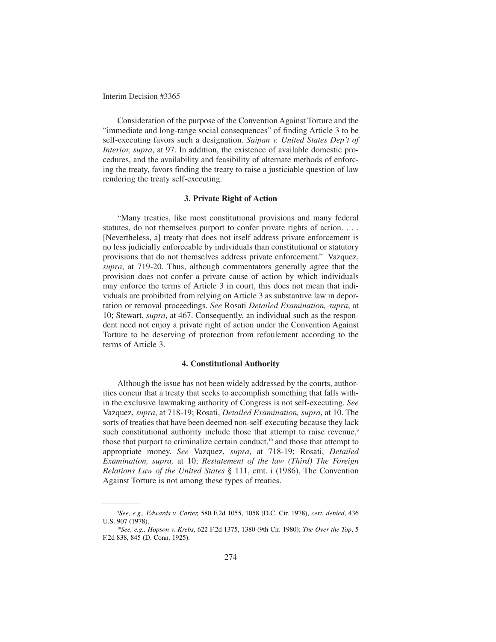Consideration of the purpose of the Convention Against Torture and the "immediate and long-range social consequences" of finding Article 3 to be self-executing favors such a designation. *Saipan v. United States Dep't of Interior, supra*, at 97. In addition, the existence of available domestic procedures, and the availability and feasibility of alternate methods of enforcing the treaty, favors finding the treaty to raise a justiciable question of law rendering the treaty self-executing.

## **3. Private Right of Action**

"Many treaties, like most constitutional provisions and many federal statutes, do not themselves purport to confer private rights of action. . . . [Nevertheless, a] treaty that does not itself address private enforcement is no less judicially enforceable by individuals than constitutional or statutory provisions that do not themselves address private enforcement." Vazquez, *supra*, at 719-20. Thus, although commentators generally agree that the provision does not confer a private cause of action by which individuals may enforce the terms of Article 3 in court, this does not mean that individuals are prohibited from relying on Article 3 as substantive law in deportation or removal proceedings. *See* Rosati *Detailed Examination, supra*, at 10; Stewart, *supra*, at 467. Consequently, an individual such as the respondent need not enjoy a private right of action under the Convention Against Torture to be deserving of protection from refoulement according to the terms of Article 3.

## **4. Constitutional Authority**

Although the issue has not been widely addressed by the courts, authorities concur that a treaty that seeks to accomplish something that falls within the exclusive lawmaking authority of Congress is not self-executing. *See* Vazquez, *supra*, at 718-19; Rosati, *Detailed Examination, supra*, at 10. The sorts of treaties that have been deemed non-self-executing because they lack such constitutional authority include those that attempt to raise revenue,<sup>9</sup> those that purport to criminalize certain conduct,<sup>10</sup> and those that attempt to appropriate money. *See* Vazquez, *supra*, at 718-19; Rosati, *Detailed Examination, supra,* at 10; *Restatement of the law (Third) The Foreign Relations Law of the United States* § 111, cmt. i (1986), The Convention Against Torture is not among these types of treaties.

<sup>9</sup> *See, e.g., Edwards v. Carter,* 580 F.2d 1055, 1058 (D.C. Cir. 1978), *cert. denied*, 436 U.S. 907 (1978).

<sup>10</sup>*See, e.g., Hopson v. Krebs*, 622 F.2d 1375, 1380 (9th Cir. 1980); *The Over the Top*, 5 F.2d 838, 845 (D. Conn. 1925).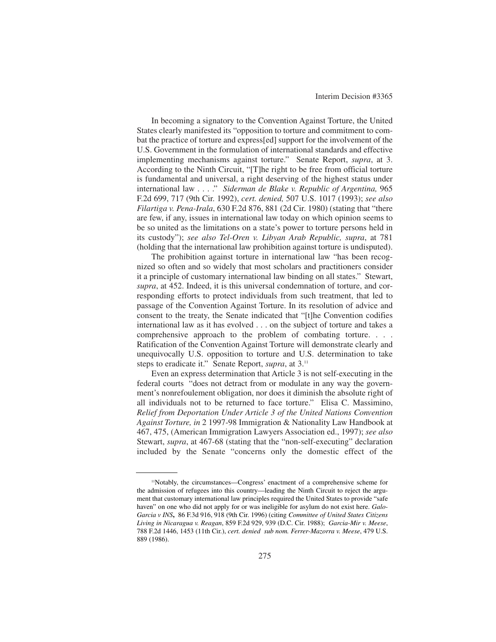In becoming a signatory to the Convention Against Torture, the United States clearly manifested its "opposition to torture and commitment to combat the practice of torture and express[ed] support for the involvement of the U.S. Government in the formulation of international standards and effective implementing mechanisms against torture." Senate Report, *supra*, at 3. According to the Ninth Circuit, "[T]he right to be free from official torture is fundamental and universal, a right deserving of the highest status under international law . . . ." *Siderman de Blake v. Republic of Argentina,* 965 F.2d 699, 717 (9th Cir. 1992), *cert. denied,* 507 U.S. 1017 (1993); *see also Filartiga v. Pena-Irala*, 630 F.2d 876, 881 (2d Cir. 1980) (stating that "there are few, if any, issues in international law today on which opinion seems to be so united as the limitations on a state's power to torture persons held in its custody"); *see also Tel-Oren v. Libyan Arab Republic, supra*, at 781 (holding that the international law prohibition against torture is undisputed).

The prohibition against torture in international law "has been recognized so often and so widely that most scholars and practitioners consider it a principle of customary international law binding on all states." Stewart, *supra*, at 452. Indeed, it is this universal condemnation of torture, and corresponding efforts to protect individuals from such treatment, that led to passage of the Convention Against Torture. In its resolution of advice and consent to the treaty, the Senate indicated that "[t]he Convention codifies international law as it has evolved . . . on the subject of torture and takes a comprehensive approach to the problem of combating torture. . . . Ratification of the Convention Against Torture will demonstrate clearly and unequivocally U.S. opposition to torture and U.S. determination to take steps to eradicate it." Senate Report, *supra*, at 3.11

Even an express determination that Article 3 is not self-executing in the federal courts "does not detract from or modulate in any way the government's nonrefoulement obligation, nor does it diminish the absolute right of all individuals not to be returned to face torture." Elisa C. Massimino, *Relief from Deportation Under Article 3 of the United Nations Convention Against Torture, in* 2 1997-98 Immigration & Nationality Law Handbook at 467, 475, (American Immigration Lawyers Association ed., 1997); *see also* Stewart, *supra*, at 467-68 (stating that the "non-self-executing" declaration included by the Senate "concerns only the domestic effect of the

<sup>11</sup>Notably, the circumstances—Congress' enactment of a comprehensive scheme for the admission of refugees into this country—leading the Ninth Circuit to reject the argument that customary international law principles required the United States to provide "safe haven" on one who did not apply for or was ineligible for asylum do not exist here. *Galo-Garcia v INS***,** 86 F.3d 916, 918 (9th Cir. 1996) (citing *Committee of United States Citizens Living in Nicaragua v. Reagan*, 859 F.2d 929, 939 (D.C. Cir. 1988); *Garcia-Mir v. Meese*, 788 F.2d 1446, 1453 (11th Cir.), *cert. denied sub nom. Ferrer-Mazorra v. Meese*, 479 U.S. 889 (1986).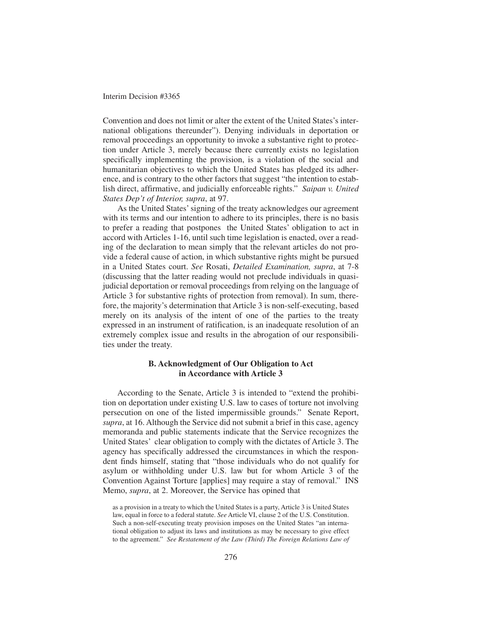Convention and does not limit or alter the extent of the United States's international obligations thereunder"). Denying individuals in deportation or removal proceedings an opportunity to invoke a substantive right to protection under Article 3, merely because there currently exists no legislation specifically implementing the provision, is a violation of the social and humanitarian objectives to which the United States has pledged its adherence, and is contrary to the other factors that suggest "the intention to establish direct, affirmative, and judicially enforceable rights." *Saipan v. United States Dep't of Interior, supra*, at 97.

As the United States' signing of the treaty acknowledges our agreement with its terms and our intention to adhere to its principles, there is no basis to prefer a reading that postpones the United States' obligation to act in accord with Articles 1-16, until such time legislation is enacted, over a reading of the declaration to mean simply that the relevant articles do not provide a federal cause of action, in which substantive rights might be pursued in a United States court. *See* Rosati, *Detailed Examination, supra*, at 7-8 (discussing that the latter reading would not preclude individuals in quasijudicial deportation or removal proceedings from relying on the language of Article 3 for substantive rights of protection from removal). In sum, therefore, the majority's determination that Article 3 is non-self-executing, based merely on its analysis of the intent of one of the parties to the treaty expressed in an instrument of ratification, is an inadequate resolution of an extremely complex issue and results in the abrogation of our responsibilities under the treaty.

## **B. Acknowledgment of Our Obligation to Act in Accordance with Article 3**

According to the Senate, Article 3 is intended to "extend the prohibition on deportation under existing U.S. law to cases of torture not involving persecution on one of the listed impermissible grounds." Senate Report, *supra*, at 16. Although the Service did not submit a brief in this case, agency memoranda and public statements indicate that the Service recognizes the United States' clear obligation to comply with the dictates of Article 3. The agency has specifically addressed the circumstances in which the respondent finds himself, stating that "those individuals who do not qualify for asylum or withholding under U.S. law but for whom Article 3 of the Convention Against Torture [applies] may require a stay of removal." INS Memo, *supra*, at 2. Moreover, the Service has opined that

as a provision in a treaty to which the United States is a party, Article 3 is United States law, equal in force to a federal statute. *See* Article VI, clause 2 of the U.S. Constitution. Such a non-self-executing treaty provision imposes on the United States "an international obligation to adjust its laws and institutions as may be necessary to give effect to the agreement." *See Restatement of the Law (Third) The Foreign Relations Law of*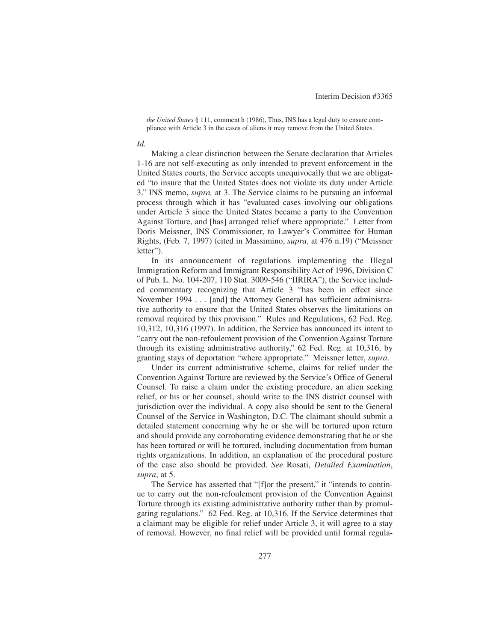*the United States* § 111, comment h (1986), Thus, INS has a legal duty to ensure compliance with Article 3 in the cases of aliens it may remove from the United States.

#### *Id.*

Making a clear distinction between the Senate declaration that Articles 1-16 are not self-executing as only intended to prevent enforcement in the United States courts, the Service accepts unequivocally that we are obligated "to insure that the United States does not violate its duty under Article 3." INS memo, *supra,* at 3. The Service claims to be pursuing an informal process through which it has "evaluated cases involving our obligations under Article 3 since the United States became a party to the Convention Against Torture, and [has] arranged relief where appropriate." Letter from Doris Meissner, INS Commissioner, to Lawyer's Committee for Human Rights, (Feb. 7, 1997) (cited in Massimino, *supra*, at 476 n.19) ("Meissner letter").

In its announcement of regulations implementing the Illegal Immigration Reform and Immigrant Responsibility Act of 1996, Division C of Pub. L. No. 104-207, 110 Stat. 3009-546 ("IIRIRA"), the Service included commentary recognizing that Article 3 "has been in effect since November 1994 . . . [and] the Attorney General has sufficient administrative authority to ensure that the United States observes the limitations on removal required by this provision." Rules and Regulations, 62 Fed. Reg. 10,312, 10,316 (1997). In addition, the Service has announced its intent to "carry out the non-refoulement provision of the Convention Against Torture through its existing administrative authority," 62 Fed. Reg. at 10,316, by granting stays of deportation "where appropriate." Meissner letter, *supra*.

Under its current administrative scheme, claims for relief under the Convention Against Torture are reviewed by the Service's Office of General Counsel. To raise a claim under the existing procedure, an alien seeking relief, or his or her counsel, should write to the INS district counsel with jurisdiction over the individual. A copy also should be sent to the General Counsel of the Service in Washington, D.C. The claimant should submit a detailed statement concerning why he or she will be tortured upon return and should provide any corroborating evidence demonstrating that he or she has been tortured or will be tortured, including documentation from human rights organizations. In addition, an explanation of the procedural posture of the case also should be provided. *See* Rosati, *Detailed Examination*, *supra*, at 5.

The Service has asserted that "[f]or the present," it "intends to continue to carry out the non-refoulement provision of the Convention Against Torture through its existing administrative authority rather than by promulgating regulations." 62 Fed. Reg. at 10,316. If the Service determines that a claimant may be eligible for relief under Article 3, it will agree to a stay of removal. However, no final relief will be provided until formal regula-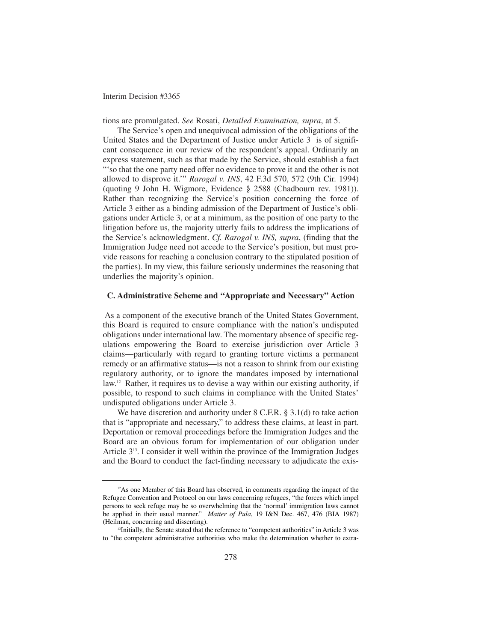tions are promulgated. *See* Rosati, *Detailed Examination, supra*, at 5.

The Service's open and unequivocal admission of the obligations of the United States and the Department of Justice under Article 3 is of significant consequence in our review of the respondent's appeal. Ordinarily an express statement, such as that made by the Service, should establish a fact "'so that the one party need offer no evidence to prove it and the other is not allowed to disprove it.'" *Rarogal v. INS*, 42 F.3d 570, 572 (9th Cir. 1994) (quoting 9 John H. Wigmore, Evidence § 2588 (Chadbourn rev. 1981)). Rather than recognizing the Service's position concerning the force of Article 3 either as a binding admission of the Department of Justice's obligations under Article 3, or at a minimum, as the position of one party to the litigation before us, the majority utterly fails to address the implications of the Service's acknowledgment. *Cf. Rarogal v. INS, supra*, (finding that the Immigration Judge need not accede to the Service's position, but must provide reasons for reaching a conclusion contrary to the stipulated position of the parties). In my view, this failure seriously undermines the reasoning that underlies the majority's opinion.

## **C. Administrative Scheme and "Appropriate and Necessary" Action**

As a component of the executive branch of the United States Government, this Board is required to ensure compliance with the nation's undisputed obligations under international law. The momentary absence of specific regulations empowering the Board to exercise jurisdiction over Article 3 claims—particularly with regard to granting torture victims a permanent remedy or an affirmative status—is not a reason to shrink from our existing regulatory authority, or to ignore the mandates imposed by international law.12 Rather, it requires us to devise a way within our existing authority, if possible, to respond to such claims in compliance with the United States' undisputed obligations under Article 3.

We have discretion and authority under 8 C.F.R. § 3.1(d) to take action that is "appropriate and necessary," to address these claims, at least in part. Deportation or removal proceedings before the Immigration Judges and the Board are an obvious forum for implementation of our obligation under Article 313. I consider it well within the province of the Immigration Judges and the Board to conduct the fact-finding necessary to adjudicate the exis-

<sup>&</sup>lt;sup>12</sup>As one Member of this Board has observed, in comments regarding the impact of the Refugee Convention and Protocol on our laws concerning refugees, "the forces which impel persons to seek refuge may be so overwhelming that the 'normal' immigration laws cannot be applied in their usual manner." *Matter of Pula*, 19 I&N Dec. 467, 476 (BIA 1987) (Heilman, concurring and dissenting).

<sup>&</sup>lt;sup>13</sup>Initially, the Senate stated that the reference to "competent authorities" in Article 3 was to "the competent administrative authorities who make the determination whether to extra-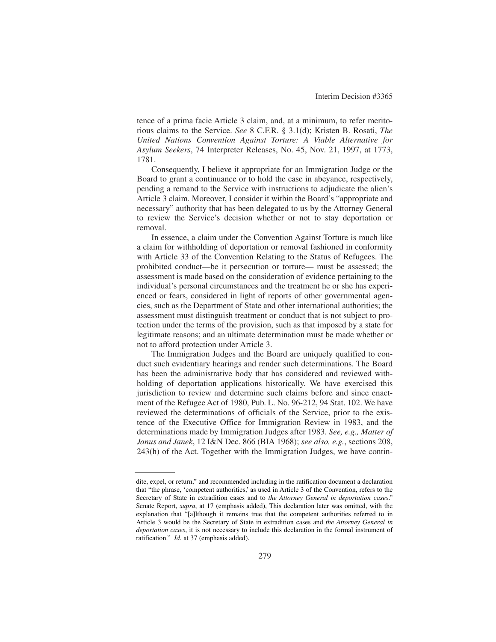tence of a prima facie Article 3 claim, and, at a minimum, to refer meritorious claims to the Service. *See* 8 C.F.R. § 3.1(d); Kristen B. Rosati, *The United Nations Convention Against Torture: A Viable Alternative for Asylum Seekers*, 74 Interpreter Releases, No. 45, Nov. 21, 1997, at 1773, 1781.

Consequently, I believe it appropriate for an Immigration Judge or the Board to grant a continuance or to hold the case in abeyance, respectively, pending a remand to the Service with instructions to adjudicate the alien's Article 3 claim. Moreover, I consider it within the Board's "appropriate and necessary" authority that has been delegated to us by the Attorney General to review the Service's decision whether or not to stay deportation or removal.

In essence, a claim under the Convention Against Torture is much like a claim for withholding of deportation or removal fashioned in conformity with Article 33 of the Convention Relating to the Status of Refugees. The prohibited conduct—be it persecution or torture— must be assessed; the assessment is made based on the consideration of evidence pertaining to the individual's personal circumstances and the treatment he or she has experienced or fears, considered in light of reports of other governmental agencies, such as the Department of State and other international authorities; the assessment must distinguish treatment or conduct that is not subject to protection under the terms of the provision, such as that imposed by a state for legitimate reasons; and an ultimate determination must be made whether or not to afford protection under Article 3.

The Immigration Judges and the Board are uniquely qualified to conduct such evidentiary hearings and render such determinations. The Board has been the administrative body that has considered and reviewed withholding of deportation applications historically. We have exercised this jurisdiction to review and determine such claims before and since enactment of the Refugee Act of 1980, Pub. L. No. 96-212, 94 Stat. 102. We have reviewed the determinations of officials of the Service, prior to the existence of the Executive Office for Immigration Review in 1983, and the determinations made by Immigration Judges after 1983. *See, e.g., Matter of Janus and Janek*, 12 I&N Dec. 866 (BIA 1968); *see also, e.g.*, sections 208, 243(h) of the Act. Together with the Immigration Judges, we have contin-

dite, expel, or return," and recommended including in the ratification document a declaration that "the phrase, 'competent authorities,' as used in Article 3 of the Convention, refers to the Secretary of State in extradition cases and to *the Attorney General in deportation cases*." Senate Report, *supra*, at 17 (emphasis added), This declaration later was omitted, with the explanation that "[a]lthough it remains true that the competent authorities referred to in Article 3 would be the Secretary of State in extradition cases and *the Attorney General in deportation cases*, it is not necessary to include this declaration in the formal instrument of ratification." *Id.* at 37 (emphasis added).